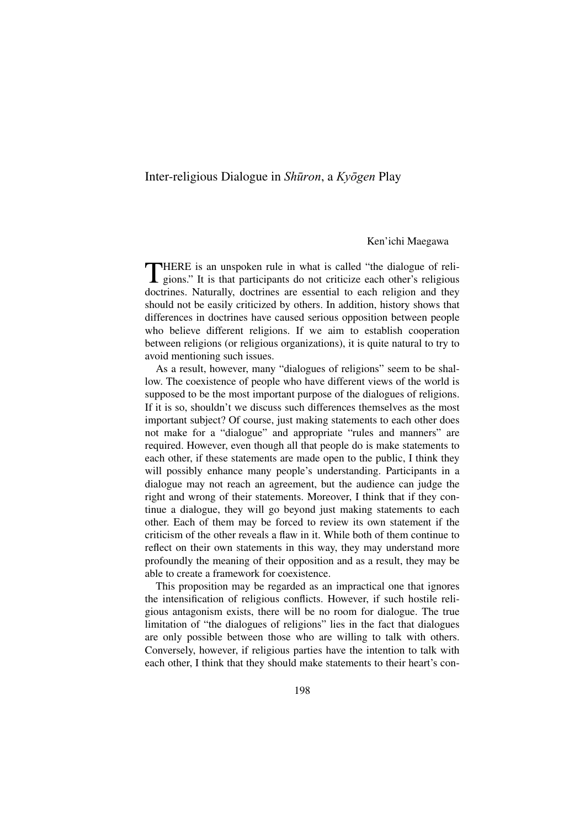## Inter-religious Dialogue in Shūron, a Kyōgen Play

## Ken'ichi Maegawa

THERE is an unspoken rule in what is called "the dialogue of reli-gions." It is that participants do not criticize each other's religious doctrines. Naturally, doctrines are essential to each religion and they should not be easily criticized by others. In addition, history shows that differences in doctrines have caused serious opposition between people who believe different religions. If we aim to establish cooperation between religions (or religious organizations), it is quite natural to try to avoid mentioning such issues.

As a result, however, many "dialogues of religions" seem to be shallow. The coexistence of people who have different views of the world is supposed to be the most important purpose of the dialogues of religions. If it is so, shouldn't we discuss such differences themselves as the most important subject? Of course, just making statements to each other does not make for a "dialogue" and appropriate "rules and manners" are required. However, even though all that people do is make statements to each other, if these statements are made open to the public, I think they will possibly enhance many people's understanding. Participants in a dialogue may not reach an agreement, but the audience can judge the right and wrong of their statements. Moreover, I think that if they continue a dialogue, they will go beyond just making statements to each other. Each of them may be forced to review its own statement if the criticism of the other reveals a flaw in it. While both of them continue to reflect on their own statements in this way, they may understand more profoundly the meaning of their opposition and as a result, they may be able to create a framework for coexistence.

This proposition may be regarded as an impractical one that ignores the intensification of religious conflicts. However, if such hostile religious antagonism exists, there will be no room for dialogue. The true limitation of "the dialogues of religions" lies in the fact that dialogues are only possible between those who are willing to talk with others. Conversely, however, if religious parties have the intention to talk with each other, I think that they should make statements to their heart's con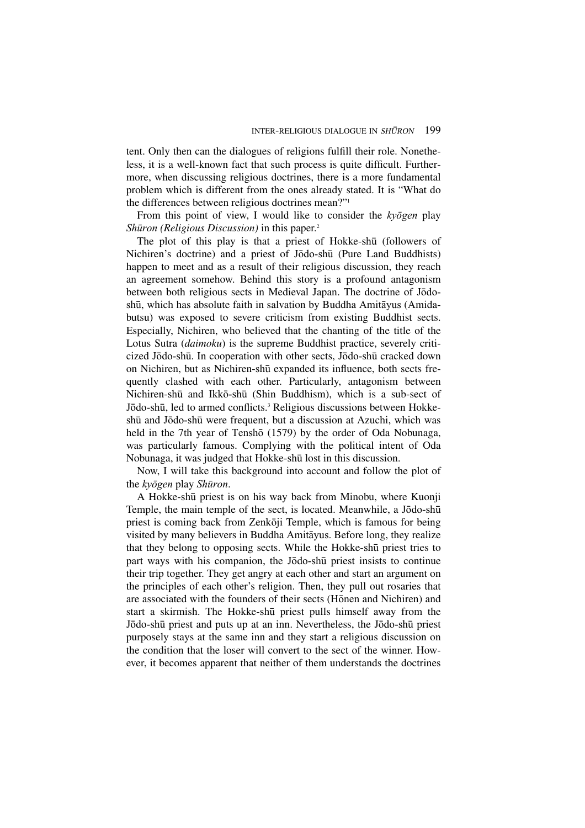tent. Only then can the dialogues of religions fulfill their role. Nonetheless, it is a well-known fact that such process is quite difficult. Furthermore, when discussing religious doctrines, there is a more fundamental problem which is different from the ones already stated. It is "What do the differences between religious doctrines mean?"1

From this point of view, I would like to consider the  $ky\bar{o}gen$  play Shūron *(Religious Discussion)* in this paper.<sup>2</sup>

The plot of this play is that a priest of Hokke-shū (followers of Nichiren's doctrine) and a priest of Jōdo-shū (Pure Land Buddhists) happen to meet and as a result of their religious discussion, they reach an agreement somehow. Behind this story is a profound antagonism between both religious sects in Medieval Japan. The doctrine of JōdoshË, which has absolute faith in salvation by Buddha Amitåyus (Amidabutsu) was exposed to severe criticism from existing Buddhist sects. Especially, Nichiren, who believed that the chanting of the title of the Lotus Sutra (*daimoku*) is the supreme Buddhist practice, severely criticized Jōdo-shū. In cooperation with other sects, Jōdo-shū cracked down on Nichiren, but as Nichiren-shË expanded its influence, both sects frequently clashed with each other. Particularly, antagonism between Nichiren-shË and IkkØ-shË (Shin Buddhism), which is a sub-sect of Jōdo-shū, led to armed conflicts.<sup>3</sup> Religious discussions between Hokkeshū and Jōdo-shū were frequent, but a discussion at Azuchi, which was held in the 7th year of Tenshō (1579) by the order of Oda Nobunaga, was particularly famous. Complying with the political intent of Oda Nobunaga, it was judged that Hokke-shË lost in this discussion.

Now, I will take this background into account and follow the plot of the  $ky\bar{o}gen$  play Shūron.

A Hokke-shË priest is on his way back from Minobu, where Kuonji Temple, the main temple of the sect, is located. Meanwhile, a Jōdo-shū priest is coming back from Zenkōji Temple, which is famous for being visited by many believers in Buddha Amitåyus. Before long, they realize that they belong to opposing sects. While the Hokke-shū priest tries to part ways with his companion, the Jōdo-shū priest insists to continue their trip together. They get angry at each other and start an argument on the principles of each other's religion. Then, they pull out rosaries that are associated with the founders of their sects (Hōnen and Nichiren) and start a skirmish. The Hokke-shË priest pulls himself away from the Jōdo-shū priest and puts up at an inn. Nevertheless, the Jōdo-shū priest purposely stays at the same inn and they start a religious discussion on the condition that the loser will convert to the sect of the winner. However, it becomes apparent that neither of them understands the doctrines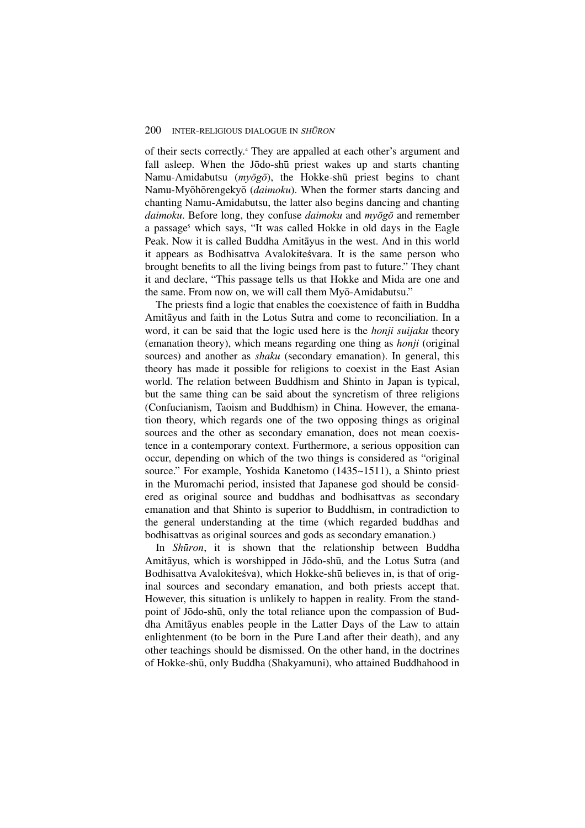of their sects correctly.4 They are appalled at each other's argument and fall asleep. When the Jōdo-shū priest wakes up and starts chanting Namu-Amidabutsu ( $mv\bar{o}g\bar{o}$ ), the Hokke-shū priest begins to chant Namu-Myōhōrengekyō (*daimoku*). When the former starts dancing and chanting Namu-Amidabutsu, the latter also begins dancing and chanting *daimoku*. Before long, they confuse *daimoku* and  $m\bar{y}\bar{g}\bar{g}$  and remember a passage<sup>5</sup> which says, "It was called Hokke in old days in the Eagle Peak. Now it is called Buddha Amitåyus in the west. And in this world it appears as Bodhisattva Avalokite svara. It is the same person who brought benefits to all the living beings from past to future." They chant it and declare, "This passage tells us that Hokke and Mida are one and the same. From now on, we will call them Myō-Amidabutsu."

The priests find a logic that enables the coexistence of faith in Buddha Amitåyus and faith in the Lotus Sutra and come to reconciliation. In a word, it can be said that the logic used here is the *honji suijaku* theory (emanation theory), which means regarding one thing as *honji* (original sources) and another as *shaku* (secondary emanation). In general, this theory has made it possible for religions to coexist in the East Asian world. The relation between Buddhism and Shinto in Japan is typical, but the same thing can be said about the syncretism of three religions (Confucianism, Taoism and Buddhism) in China. However, the emanation theory, which regards one of the two opposing things as original sources and the other as secondary emanation, does not mean coexistence in a contemporary context. Furthermore, a serious opposition can occur, depending on which of the two things is considered as "original source." For example, Yoshida Kanetomo (1435~1511), a Shinto priest in the Muromachi period, insisted that Japanese god should be considered as original source and buddhas and bodhisattvas as secondary emanation and that Shinto is superior to Buddhism, in contradiction to the general understanding at the time (which regarded buddhas and bodhisattvas as original sources and gods as secondary emanation.)

In *Shūron*, it is shown that the relationship between Buddha Amitāyus, which is worshipped in Jōdo-shū, and the Lotus Sutra (and Bodhisattva Avalokiteśva), which Hokke-shū believes in, is that of original sources and secondary emanation, and both priests accept that. However, this situation is unlikely to happen in reality. From the standpoint of Jōdo-shū, only the total reliance upon the compassion of Buddha Amitåyus enables people in the Latter Days of the Law to attain enlightenment (to be born in the Pure Land after their death), and any other teachings should be dismissed. On the other hand, in the doctrines of Hokke-shË, only Buddha (Shakyamuni), who attained Buddhahood in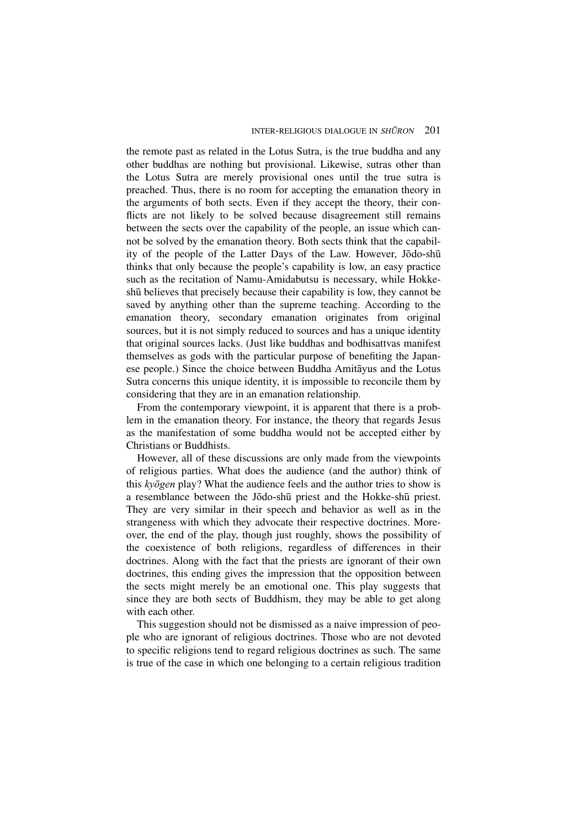the remote past as related in the Lotus Sutra, is the true buddha and any other buddhas are nothing but provisional. Likewise, sutras other than the Lotus Sutra are merely provisional ones until the true sutra is preached. Thus, there is no room for accepting the emanation theory in the arguments of both sects. Even if they accept the theory, their conflicts are not likely to be solved because disagreement still remains between the sects over the capability of the people, an issue which cannot be solved by the emanation theory. Both sects think that the capability of the people of the Latter Days of the Law. However, Jodo-shū thinks that only because the people's capability is low, an easy practice such as the recitation of Namu-Amidabutsu is necessary, while HokkeshË believes that precisely because their capability is low, they cannot be saved by anything other than the supreme teaching. According to the emanation theory, secondary emanation originates from original sources, but it is not simply reduced to sources and has a unique identity that original sources lacks. (Just like buddhas and bodhisattvas manifest themselves as gods with the particular purpose of benefiting the Japanese people.) Since the choice between Buddha Amitåyus and the Lotus Sutra concerns this unique identity, it is impossible to reconcile them by considering that they are in an emanation relationship.

From the contemporary viewpoint, it is apparent that there is a problem in the emanation theory. For instance, the theory that regards Jesus as the manifestation of some buddha would not be accepted either by Christians or Buddhists.

However, all of these discussions are only made from the viewpoints of religious parties. What does the audience (and the author) think of this  $ky\bar{o}gen$  play? What the audience feels and the author tries to show is a resemblance between the Jōdo-shū priest and the Hokke-shū priest. They are very similar in their speech and behavior as well as in the strangeness with which they advocate their respective doctrines. Moreover, the end of the play, though just roughly, shows the possibility of the coexistence of both religions, regardless of differences in their doctrines. Along with the fact that the priests are ignorant of their own doctrines, this ending gives the impression that the opposition between the sects might merely be an emotional one. This play suggests that since they are both sects of Buddhism, they may be able to get along with each other.

This suggestion should not be dismissed as a naive impression of people who are ignorant of religious doctrines. Those who are not devoted to specific religions tend to regard religious doctrines as such. The same is true of the case in which one belonging to a certain religious tradition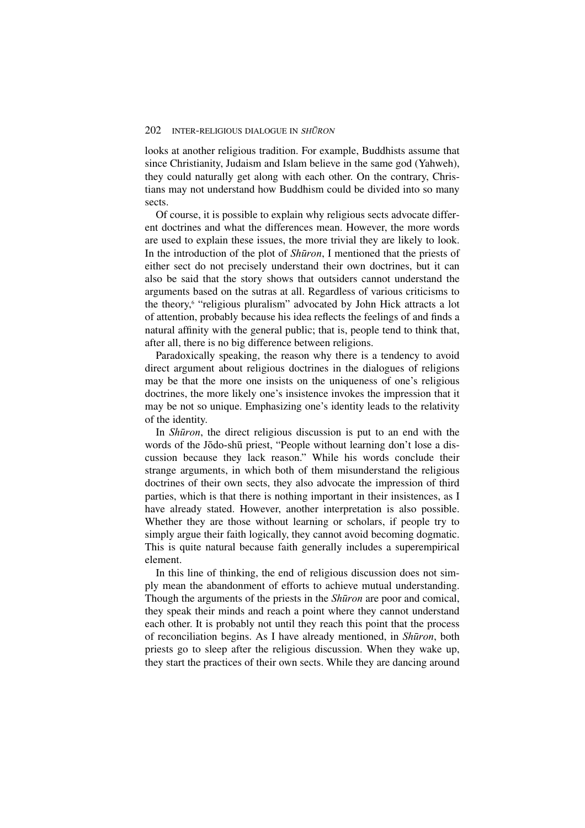looks at another religious tradition. For example, Buddhists assume that since Christianity, Judaism and Islam believe in the same god (Yahweh), they could naturally get along with each other. On the contrary, Christians may not understand how Buddhism could be divided into so many sects.

Of course, it is possible to explain why religious sects advocate different doctrines and what the differences mean. However, the more words are used to explain these issues, the more trivial they are likely to look. In the introduction of the plot of Shūron, I mentioned that the priests of either sect do not precisely understand their own doctrines, but it can also be said that the story shows that outsiders cannot understand the arguments based on the sutras at all. Regardless of various criticisms to the theory,<sup>6</sup> "religious pluralism" advocated by John Hick attracts a lot of attention, probably because his idea reflects the feelings of and finds a natural affinity with the general public; that is, people tend to think that, after all, there is no big difference between religions.

Paradoxically speaking, the reason why there is a tendency to avoid direct argument about religious doctrines in the dialogues of religions may be that the more one insists on the uniqueness of one's religious doctrines, the more likely one's insistence invokes the impression that it may be not so unique. Emphasizing one's identity leads to the relativity of the identity.

In *Shūron*, the direct religious discussion is put to an end with the words of the Jōdo-shū priest, "People without learning don't lose a discussion because they lack reason." While his words conclude their strange arguments, in which both of them misunderstand the religious doctrines of their own sects, they also advocate the impression of third parties, which is that there is nothing important in their insistences, as I have already stated. However, another interpretation is also possible. Whether they are those without learning or scholars, if people try to simply argue their faith logically, they cannot avoid becoming dogmatic. This is quite natural because faith generally includes a superempirical element.

In this line of thinking, the end of religious discussion does not simply mean the abandonment of efforts to achieve mutual understanding. Though the arguments of the priests in the Shūron are poor and comical, they speak their minds and reach a point where they cannot understand each other. It is probably not until they reach this point that the process of reconciliation begins. As I have already mentioned, in Shūron, both priests go to sleep after the religious discussion. When they wake up, they start the practices of their own sects. While they are dancing around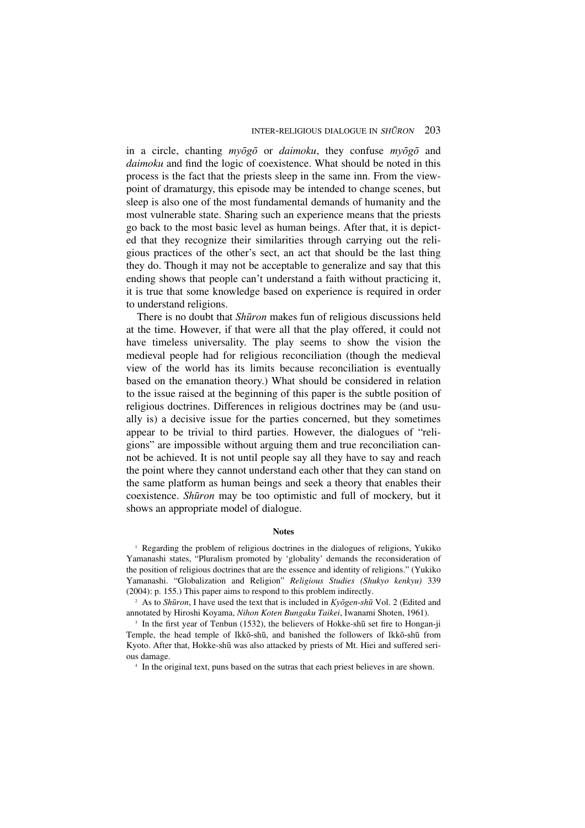in a circle, chanting  $m\bar{v}\bar{o}g\bar{o}$  or *daimoku*, they confuse  $m\bar{v}\bar{o}g\bar{o}$  and *daimoku* and find the logic of coexistence. What should be noted in this process is the fact that the priests sleep in the same inn. From the viewpoint of dramaturgy, this episode may be intended to change scenes, but sleep is also one of the most fundamental demands of humanity and the most vulnerable state. Sharing such an experience means that the priests go back to the most basic level as human beings. After that, it is depicted that they recognize their similarities through carrying out the religious practices of the other's sect, an act that should be the last thing they do. Though it may not be acceptable to generalize and say that this ending shows that people can't understand a faith without practicing it, it is true that some knowledge based on experience is required in order to understand religions.

There is no doubt that *Shūron* makes fun of religious discussions held at the time. However, if that were all that the play offered, it could not have timeless universality. The play seems to show the vision the medieval people had for religious reconciliation (though the medieval view of the world has its limits because reconciliation is eventually based on the emanation theory.) What should be considered in relation to the issue raised at the beginning of this paper is the subtle position of religious doctrines. Differences in religious doctrines may be (and usually is) a decisive issue for the parties concerned, but they sometimes appear to be trivial to third parties. However, the dialogues of "religions" are impossible without arguing them and true reconciliation cannot be achieved. It is not until people say all they have to say and reach the point where they cannot understand each other that they can stand on the same platform as human beings and seek a theory that enables their coexistence. Shūron may be too optimistic and full of mockery, but it shows an appropriate model of dialogue.

## **Notes**

<sup>1</sup> Regarding the problem of religious doctrines in the dialogues of religions, Yukiko Yamanashi states, "Pluralism promoted by 'globality' demands the reconsideration of the position of religious doctrines that are the essence and identity of religions." (Yukiko Yamanashi. "Globalization and Religion" *Religious Studies (Shukyo kenkyu)* 339 (2004): p. 155.) This paper aims to respond to this problem indirectly.

<sup>2</sup> As to *Shūron*, I have used the text that is included in  $Kv\bar{o}gen\text{-}sh\bar{u}$  Vol. 2 (Edited and annotated by Hiroshi Koyama, *Nihon Koten Bungaku Taikei*, Iwanami Shoten, 1961).

<sup>3</sup> In the first year of Tenbun (1532), the believers of Hokke-shū set fire to Hongan-ji Temple, the head temple of Ikkō-shū, and banished the followers of Ikkō-shū from Kyoto. After that, Hokke-shū was also attacked by priests of Mt. Hiei and suffered serious damage.

<sup>4</sup> In the original text, puns based on the sutras that each priest believes in are shown.